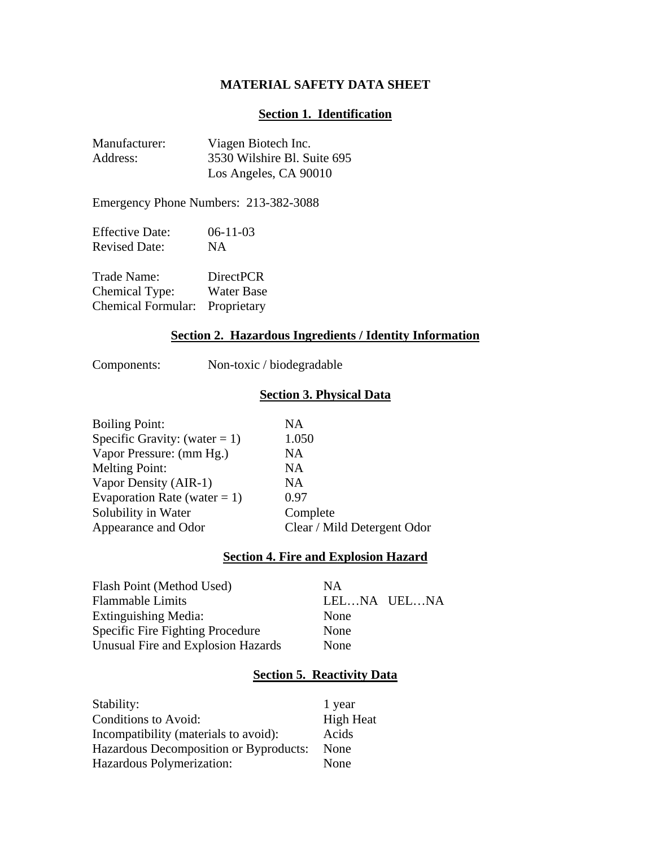# **MATERIAL SAFETY DATA SHEET**

#### **Section 1. Identification**

| Manufacturer: | Viagen Biotech Inc.         |
|---------------|-----------------------------|
| Address:      | 3530 Wilshire Bl. Suite 695 |
|               | Los Angeles, CA 90010       |

Emergency Phone Numbers: 213-382-3088

| <b>Effective Date:</b> | $06-11-03$ |
|------------------------|------------|
| <b>Revised Date:</b>   | NA         |

| Trade Name:                    | <b>DirectPCR</b>  |
|--------------------------------|-------------------|
| Chemical Type:                 | <b>Water Base</b> |
| Chemical Formular: Proprietary |                   |

# **Section 2. Hazardous Ingredients / Identity Information**

Components: Non-toxic / biodegradable

# **Section 3. Physical Data**

| <b>Boiling Point:</b>           | <b>NA</b>                   |
|---------------------------------|-----------------------------|
| Specific Gravity: (water = 1)   | 1.050                       |
| Vapor Pressure: (mm Hg.)        | NA                          |
| <b>Melting Point:</b>           | <b>NA</b>                   |
| Vapor Density (AIR-1)           | <b>NA</b>                   |
| Evaporation Rate (water $= 1$ ) | 0.97                        |
| Solubility in Water             | Complete                    |
| Appearance and Odor             | Clear / Mild Detergent Odor |
|                                 |                             |

# **Section 4. Fire and Explosion Hazard**

| Flash Point (Method Used)          | NА          |
|------------------------------------|-------------|
| <b>Flammable Limits</b>            | LELNA UELNA |
| Extinguishing Media:               | None        |
| Specific Fire Fighting Procedure   | None        |
| Unusual Fire and Explosion Hazards | None        |

# **Section 5. Reactivity Data**

| Stability:                             | 1 year           |
|----------------------------------------|------------------|
| Conditions to Avoid:                   | <b>High Heat</b> |
| Incompatibility (materials to avoid):  | Acids            |
| Hazardous Decomposition or Byproducts: | None             |
| Hazardous Polymerization:              | None             |